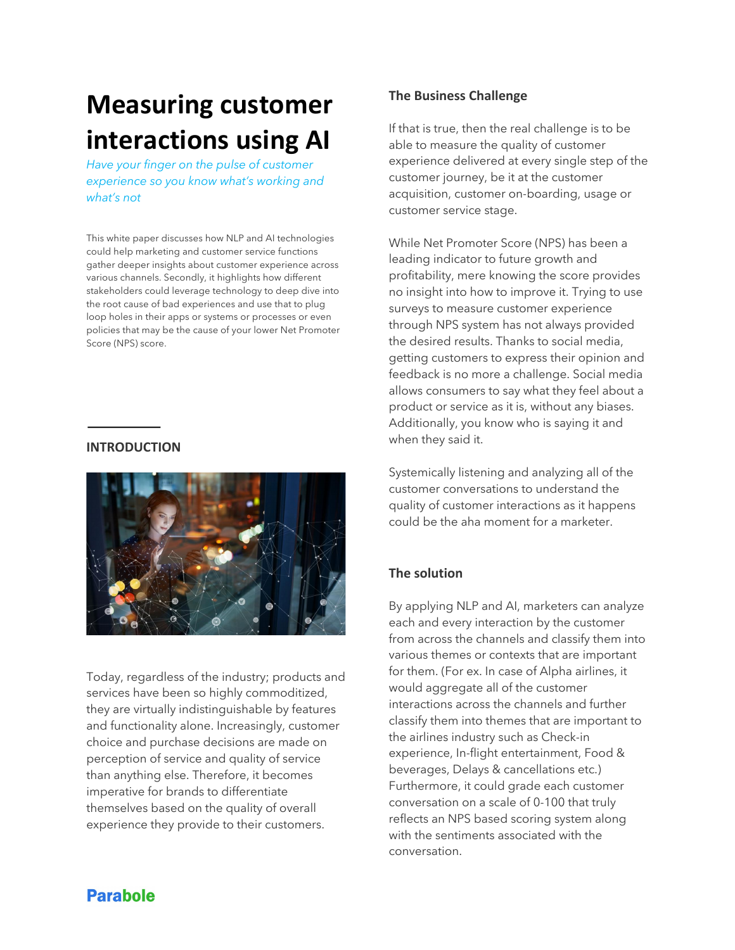# **Measuring customer interactions using AI**

*Have your finger on the pulse of customer experience so you know what's working and what's not*

This white paper discusses how NLP and AI technologies could help marketing and customer service functions gather deeper insights about customer experience across various channels. Secondly, it highlights how different stakeholders could leverage technology to deep dive into the root cause of bad experiences and use that to plug loop holes in their apps or systems or processes or even policies that may be the cause of your lower Net Promoter Score (NPS) score.

#### **INTRODUCTION**



Today, regardless of the industry; products and services have been so highly commoditized, they are virtually indistinguishable by features and functionality alone. Increasingly, customer choice and purchase decisions are made on perception of service and quality of service than anything else. Therefore, it becomes imperative for brands to differentiate themselves based on the quality of overall experience they provide to their customers.

## **The Business Challenge**

If that is true, then the real challenge is to be able to measure the quality of customer experience delivered at every single step of the customer journey, be it at the customer acquisition, customer on-boarding, usage or customer service stage.

While Net Promoter Score (NPS) has been a leading indicator to future growth and profitability, mere knowing the score provides no insight into how to improve it. Trying to use surveys to measure customer experience through NPS system has not always provided the desired results. Thanks to social media, getting customers to express their opinion and feedback is no more a challenge. Social media allows consumers to say what they feel about a product or service as it is, without any biases. Additionally, you know who is saying it and when they said it.

Systemically listening and analyzing all of the customer conversations to understand the quality of customer interactions as it happens could be the aha moment for a marketer.

## **The solution**

By applying NLP and AI, marketers can analyze each and every interaction by the customer from across the channels and classify them into various themes or contexts that are important for them. (For ex. In case of Alpha airlines, it would aggregate all of the customer interactions across the channels and further classify them into themes that are important to the airlines industry such as Check-in experience, In-flight entertainment, Food & beverages, Delays & cancellations etc.) Furthermore, it could grade each customer conversation on a scale of 0-100 that truly reflects an NPS based scoring system along with the sentiments associated with the conversation.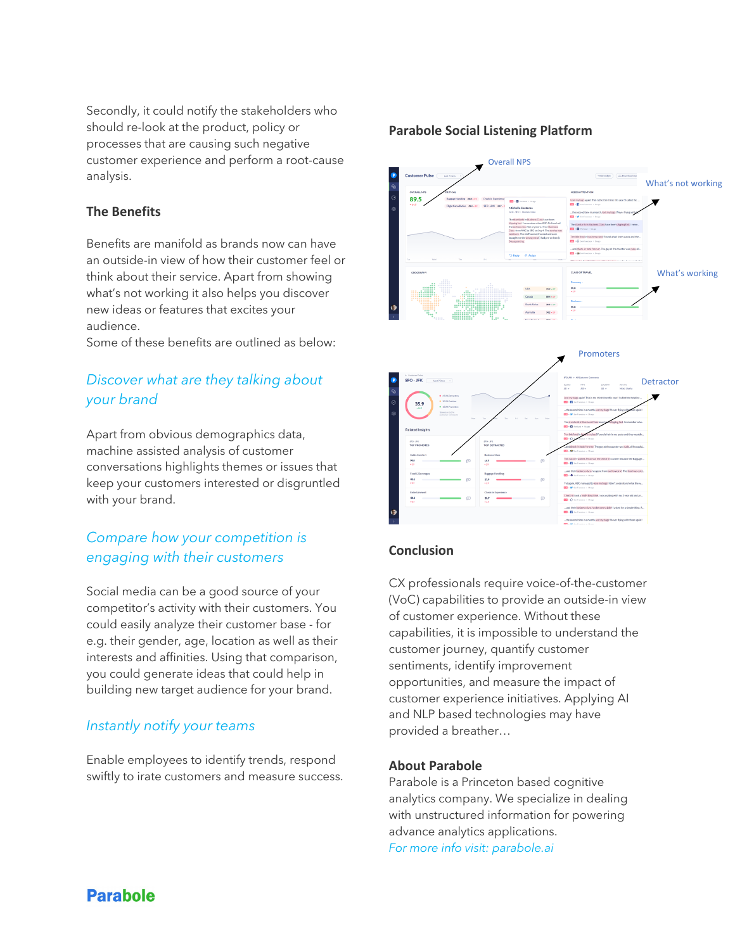Secondly, it could notify the stakeholders who should re-look at the product, policy or processes that are causing such negative customer experience and perform a root-cause analysis.

## **The Benefits**

Benefits are manifold as brands now can have an outside-in view of how their customer feel or think about their service. Apart from showing what's not working it also helps you discover new ideas or features that excites your audience.

Some of these benefits are outlined as below:

# *Discover what are they talking about your brand*

Apart from obvious demographics data, machine assisted analysis of customer conversations highlights themes or issues that keep your customers interested or disgruntled with your brand.

## *Compare how your competition is engaging with their customers*

Social media can be a good source of your competitor's activity with their customers. You could easily analyze their customer base - for e.g. their gender, age, location as well as their interests and affinities. Using that comparison, you could generate ideas that could help in building new target audience for your brand.

## *Instantly notify your teams*

Enable employees to identify trends, respond swiftly to irate customers and measure success.

## **Parabole Social Listening Platform**





## **Conclusion**

CX professionals require voice-of-the-customer (VoC) capabilities to provide an outside-in view of customer experience. Without these capabilities, it is impossible to understand the customer journey, quantify customer sentiments, identify improvement opportunities, and measure the impact of customer experience initiatives. Applying AI and NLP based technologies may have provided a breather…

#### **About Parabole**

Parabole is a Princeton based cognitive analytics company. We specialize in dealing with unstructured information for powering advance analytics applications. *For more info visit: parabole.ai*